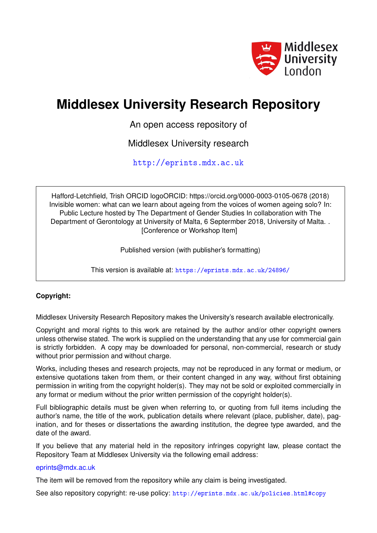

# **Middlesex University Research Repository**

An open access repository of

Middlesex University research

<http://eprints.mdx.ac.uk>

Hafford-Letchfield, Trish ORCID logoORCID: https://orcid.org/0000-0003-0105-0678 (2018) Invisible women: what can we learn about ageing from the voices of women ageing solo? In: Public Lecture hosted by The Department of Gender Studies In collaboration with The Department of Gerontology at University of Malta, 6 Septermber 2018, University of Malta. . [Conference or Workshop Item]

Published version (with publisher's formatting)

This version is available at: <https://eprints.mdx.ac.uk/24896/>

### **Copyright:**

Middlesex University Research Repository makes the University's research available electronically.

Copyright and moral rights to this work are retained by the author and/or other copyright owners unless otherwise stated. The work is supplied on the understanding that any use for commercial gain is strictly forbidden. A copy may be downloaded for personal, non-commercial, research or study without prior permission and without charge.

Works, including theses and research projects, may not be reproduced in any format or medium, or extensive quotations taken from them, or their content changed in any way, without first obtaining permission in writing from the copyright holder(s). They may not be sold or exploited commercially in any format or medium without the prior written permission of the copyright holder(s).

Full bibliographic details must be given when referring to, or quoting from full items including the author's name, the title of the work, publication details where relevant (place, publisher, date), pagination, and for theses or dissertations the awarding institution, the degree type awarded, and the date of the award.

If you believe that any material held in the repository infringes copyright law, please contact the Repository Team at Middlesex University via the following email address:

#### [eprints@mdx.ac.uk](mailto:eprints@mdx.ac.uk)

The item will be removed from the repository while any claim is being investigated.

See also repository copyright: re-use policy: <http://eprints.mdx.ac.uk/policies.html#copy>